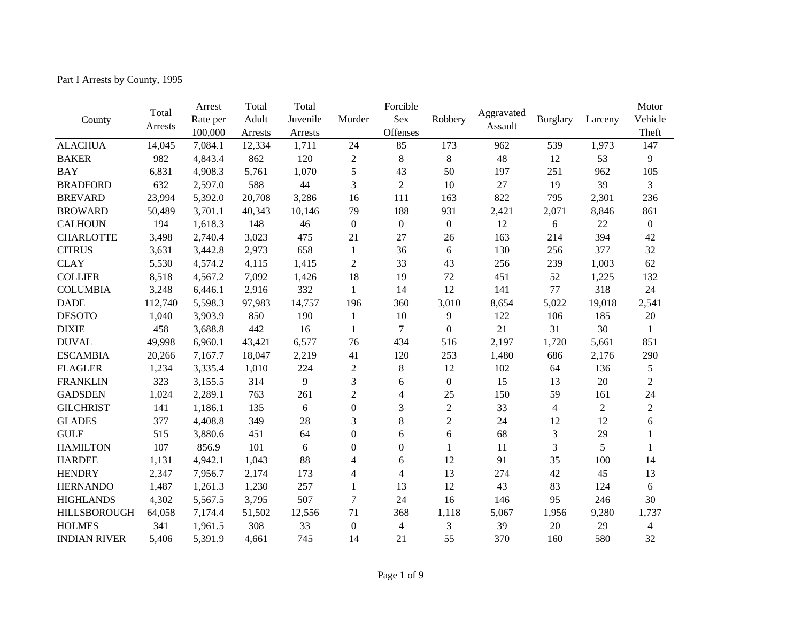Part I Arrests by County, 1995

|                     |         | Arrest   | Total   | Total    |                  | Forcible         |                  |            |                 |                | Motor            |
|---------------------|---------|----------|---------|----------|------------------|------------------|------------------|------------|-----------------|----------------|------------------|
| County              | Total   | Rate per | Adult   | Juvenile | Murder           | <b>Sex</b>       | Robbery          | Aggravated | <b>Burglary</b> | Larceny        | Vehicle          |
|                     | Arrests | 100,000  | Arrests | Arrests  |                  | Offenses         |                  | Assault    |                 |                | Theft            |
| <b>ALACHUA</b>      | 14,045  | 7,084.1  | 12,334  | 1,711    | 24               | 85               | 173              | 962        | 539             | 1,973          | 147              |
| <b>BAKER</b>        | 982     | 4,843.4  | 862     | 120      | $\boldsymbol{2}$ | $\,8\,$          | $8\,$            | 48         | 12              | 53             | 9                |
| <b>BAY</b>          | 6,831   | 4,908.3  | 5,761   | 1,070    | 5                | 43               | 50               | 197        | 251             | 962            | 105              |
| <b>BRADFORD</b>     | 632     | 2,597.0  | 588     | 44       | 3                | $\overline{2}$   | 10               | 27         | 19              | 39             | 3                |
| <b>BREVARD</b>      | 23,994  | 5,392.0  | 20,708  | 3,286    | 16               | 111              | 163              | 822        | 795             | 2,301          | 236              |
| <b>BROWARD</b>      | 50,489  | 3,701.1  | 40,343  | 10,146   | 79               | 188              | 931              | 2,421      | 2,071           | 8,846          | 861              |
| <b>CALHOUN</b>      | 194     | 1,618.3  | 148     | 46       | $\boldsymbol{0}$ | $\boldsymbol{0}$ | $\mathbf{0}$     | 12         | 6               | 22             | $\boldsymbol{0}$ |
| <b>CHARLOTTE</b>    | 3,498   | 2,740.4  | 3,023   | 475      | 21               | 27               | 26               | 163        | 214             | 394            | 42               |
| <b>CITRUS</b>       | 3,631   | 3,442.8  | 2,973   | 658      | $\mathbf{1}$     | 36               | 6                | 130        | 256             | 377            | 32               |
| <b>CLAY</b>         | 5,530   | 4,574.2  | 4,115   | 1,415    | $\overline{2}$   | 33               | 43               | 256        | 239             | 1,003          | 62               |
| <b>COLLIER</b>      | 8,518   | 4,567.2  | 7,092   | 1,426    | 18               | 19               | 72               | 451        | 52              | 1,225          | 132              |
| <b>COLUMBIA</b>     | 3,248   | 6,446.1  | 2,916   | 332      | $\mathbf{1}$     | 14               | 12               | 141        | 77              | 318            | 24               |
| <b>DADE</b>         | 112,740 | 5,598.3  | 97,983  | 14,757   | 196              | 360              | 3,010            | 8,654      | 5,022           | 19,018         | 2,541            |
| <b>DESOTO</b>       | 1,040   | 3,903.9  | 850     | 190      | $\mathbf{1}$     | 10               | 9                | 122        | 106             | 185            | 20               |
| <b>DIXIE</b>        | 458     | 3,688.8  | 442     | 16       | $\mathbf{1}$     | $\overline{7}$   | $\boldsymbol{0}$ | 21         | 31              | 30             | 1                |
| <b>DUVAL</b>        | 49,998  | 6,960.1  | 43,421  | 6,577    | 76               | 434              | 516              | 2,197      | 1,720           | 5,661          | 851              |
| <b>ESCAMBIA</b>     | 20,266  | 7,167.7  | 18,047  | 2,219    | 41               | 120              | 253              | 1,480      | 686             | 2,176          | 290              |
| <b>FLAGLER</b>      | 1,234   | 3,335.4  | 1,010   | 224      | $\mathfrak{2}$   | $\,8\,$          | 12               | 102        | 64              | 136            | 5                |
| <b>FRANKLIN</b>     | 323     | 3,155.5  | 314     | 9        | 3                | 6                | $\boldsymbol{0}$ | 15         | 13              | 20             | $\mathbf{2}$     |
| <b>GADSDEN</b>      | 1,024   | 2,289.1  | 763     | 261      | $\overline{2}$   | 4                | 25               | 150        | 59              | 161            | 24               |
| <b>GILCHRIST</b>    | 141     | 1,186.1  | 135     | 6        | $\boldsymbol{0}$ | 3                | $\overline{2}$   | 33         | $\overline{4}$  | $\overline{2}$ | $\overline{2}$   |
| <b>GLADES</b>       | 377     | 4,408.8  | 349     | 28       | 3                | $\,8\,$          | $\overline{2}$   | 24         | 12              | 12             | 6                |
| <b>GULF</b>         | 515     | 3,880.6  | 451     | 64       | $\boldsymbol{0}$ | 6                | 6                | 68         | 3               | 29             |                  |
| <b>HAMILTON</b>     | 107     | 856.9    | 101     | 6        | $\overline{0}$   | $\mathbf{0}$     | $\mathbf{1}$     | 11         | 3               | 5              | 1                |
| <b>HARDEE</b>       | 1,131   | 4,942.1  | 1,043   | 88       | $\overline{4}$   | 6                | 12               | 91         | 35              | 100            | 14               |
| <b>HENDRY</b>       | 2,347   | 7,956.7  | 2,174   | 173      | $\overline{4}$   | $\overline{4}$   | 13               | 274        | 42              | 45             | 13               |
| <b>HERNANDO</b>     | 1,487   | 1,261.3  | 1,230   | 257      | $\mathbf{1}$     | 13               | 12               | 43         | 83              | 124            | 6                |
| <b>HIGHLANDS</b>    | 4,302   | 5,567.5  | 3,795   | 507      | 7                | 24               | 16               | 146        | 95              | 246            | 30               |
| <b>HILLSBOROUGH</b> | 64,058  | 7,174.4  | 51,502  | 12,556   | 71               | 368              | 1,118            | 5,067      | 1,956           | 9,280          | 1,737            |
| <b>HOLMES</b>       | 341     | 1,961.5  | 308     | 33       | $\boldsymbol{0}$ | $\overline{4}$   | 3                | 39         | 20              | 29             | 4                |
| <b>INDIAN RIVER</b> | 5,406   | 5,391.9  | 4,661   | 745      | 14               | 21               | 55               | 370        | 160             | 580            | 32               |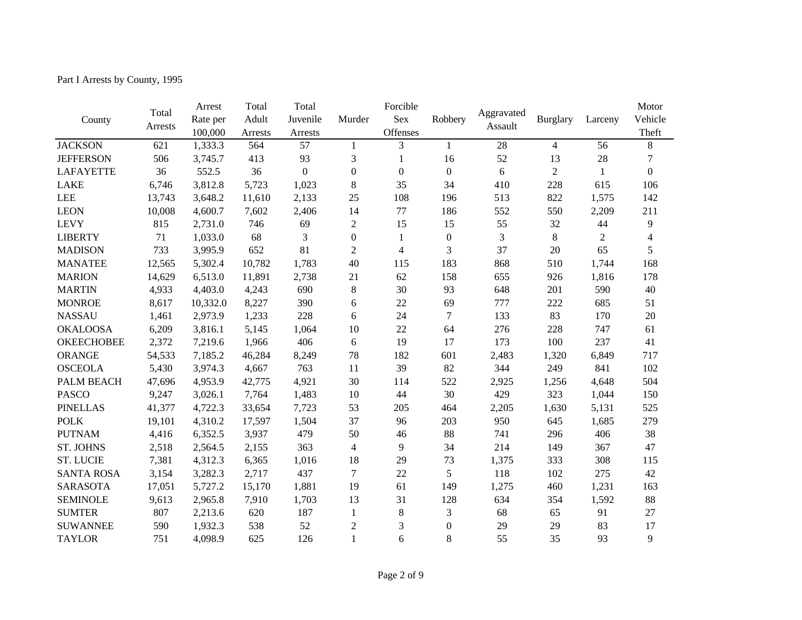Part I Arrests by County, 1995

|                   |         | Arrest   | Total   | Total            |                  | Forcible         |                  |            |                 |                | Motor            |
|-------------------|---------|----------|---------|------------------|------------------|------------------|------------------|------------|-----------------|----------------|------------------|
| County            | Total   | Rate per | Adult   | Juvenile         | Murder           | <b>Sex</b>       | Robbery          | Aggravated | <b>Burglary</b> | Larceny        | Vehicle          |
|                   | Arrests | 100,000  | Arrests | Arrests          |                  | Offenses         |                  | Assault    |                 |                | Theft            |
| <b>JACKSON</b>    | 621     | 1,333.3  | 564     | 57               | 1                | 3                | $\mathbf{1}$     | 28         | $\overline{4}$  | 56             | 8                |
| <b>JEFFERSON</b>  | 506     | 3,745.7  | 413     | 93               | $\mathfrak{Z}$   | 1                | 16               | 52         | 13              | 28             | $\overline{7}$   |
| <b>LAFAYETTE</b>  | 36      | 552.5    | 36      | $\boldsymbol{0}$ | $\boldsymbol{0}$ | $\boldsymbol{0}$ | $\boldsymbol{0}$ | 6          | $\overline{2}$  | $\mathbf{1}$   | $\boldsymbol{0}$ |
| <b>LAKE</b>       | 6,746   | 3,812.8  | 5,723   | 1,023            | $8\,$            | 35               | 34               | 410        | 228             | 615            | 106              |
| <b>LEE</b>        | 13,743  | 3,648.2  | 11,610  | 2,133            | 25               | 108              | 196              | 513        | 822             | 1,575          | 142              |
| <b>LEON</b>       | 10,008  | 4,600.7  | 7,602   | 2,406            | 14               | 77               | 186              | 552        | 550             | 2,209          | 211              |
| <b>LEVY</b>       | 815     | 2,731.0  | 746     | 69               | $\overline{2}$   | 15               | 15               | 55         | 32              | 44             | 9                |
| <b>LIBERTY</b>    | 71      | 1,033.0  | 68      | 3                | $\boldsymbol{0}$ | $\mathbf{1}$     | $\boldsymbol{0}$ | 3          | $\,8\,$         | $\overline{2}$ | $\overline{4}$   |
| <b>MADISON</b>    | 733     | 3,995.9  | 652     | 81               | $\overline{2}$   | $\overline{4}$   | 3                | 37         | 20              | 65             | 5                |
| <b>MANATEE</b>    | 12,565  | 5,302.4  | 10,782  | 1,783            | 40               | 115              | 183              | 868        | 510             | 1,744          | 168              |
| <b>MARION</b>     | 14,629  | 6,513.0  | 11,891  | 2,738            | 21               | 62               | 158              | 655        | 926             | 1,816          | 178              |
| <b>MARTIN</b>     | 4,933   | 4,403.0  | 4,243   | 690              | $8\,$            | 30               | 93               | 648        | 201             | 590            | 40               |
| <b>MONROE</b>     | 8,617   | 10,332.0 | 8,227   | 390              | 6                | 22               | 69               | 777        | 222             | 685            | 51               |
| <b>NASSAU</b>     | 1,461   | 2,973.9  | 1,233   | 228              | 6                | 24               | $\tau$           | 133        | 83              | 170            | 20               |
| <b>OKALOOSA</b>   | 6,209   | 3,816.1  | 5,145   | 1,064            | 10               | 22               | 64               | 276        | 228             | 747            | 61               |
| <b>OKEECHOBEE</b> | 2,372   | 7,219.6  | 1,966   | 406              | 6                | 19               | 17               | 173        | 100             | 237            | 41               |
| ORANGE            | 54,533  | 7,185.2  | 46,284  | 8,249            | 78               | 182              | 601              | 2,483      | 1,320           | 6,849          | 717              |
| <b>OSCEOLA</b>    | 5,430   | 3,974.3  | 4,667   | 763              | 11               | 39               | 82               | 344        | 249             | 841            | 102              |
| PALM BEACH        | 47,696  | 4,953.9  | 42,775  | 4,921            | 30               | 114              | 522              | 2,925      | 1,256           | 4,648          | 504              |
| <b>PASCO</b>      | 9,247   | 3,026.1  | 7,764   | 1,483            | 10               | 44               | 30               | 429        | 323             | 1,044          | 150              |
| <b>PINELLAS</b>   | 41,377  | 4,722.3  | 33,654  | 7,723            | 53               | 205              | 464              | 2,205      | 1,630           | 5,131          | 525              |
| <b>POLK</b>       | 19,101  | 4,310.2  | 17,597  | 1,504            | 37               | 96               | 203              | 950        | 645             | 1,685          | 279              |
| <b>PUTNAM</b>     | 4,416   | 6,352.5  | 3,937   | 479              | 50               | 46               | 88               | 741        | 296             | 406            | 38               |
| <b>ST. JOHNS</b>  | 2,518   | 2,564.5  | 2,155   | 363              | $\overline{4}$   | 9                | 34               | 214        | 149             | 367            | 47               |
| <b>ST. LUCIE</b>  | 7,381   | 4,312.3  | 6,365   | 1,016            | 18               | 29               | 73               | 1,375      | 333             | 308            | 115              |
| <b>SANTA ROSA</b> | 3,154   | 3,282.3  | 2,717   | 437              | $\tau$           | 22               | 5                | 118        | 102             | 275            | 42               |
| <b>SARASOTA</b>   | 17,051  | 5,727.2  | 15,170  | 1,881            | 19               | 61               | 149              | 1,275      | 460             | 1,231          | 163              |
| <b>SEMINOLE</b>   | 9,613   | 2,965.8  | 7,910   | 1,703            | 13               | 31               | 128              | 634        | 354             | 1,592          | 88               |
| <b>SUMTER</b>     | 807     | 2,213.6  | 620     | 187              | 1                | $8\,$            | 3                | 68         | 65              | 91             | 27               |
| <b>SUWANNEE</b>   | 590     | 1,932.3  | 538     | 52               | $\overline{2}$   | 3                | $\mathbf{0}$     | 29         | 29              | 83             | 17               |
| <b>TAYLOR</b>     | 751     | 4,098.9  | 625     | 126              | $\mathbf{1}$     | 6                | 8                | 55         | 35              | 93             | 9                |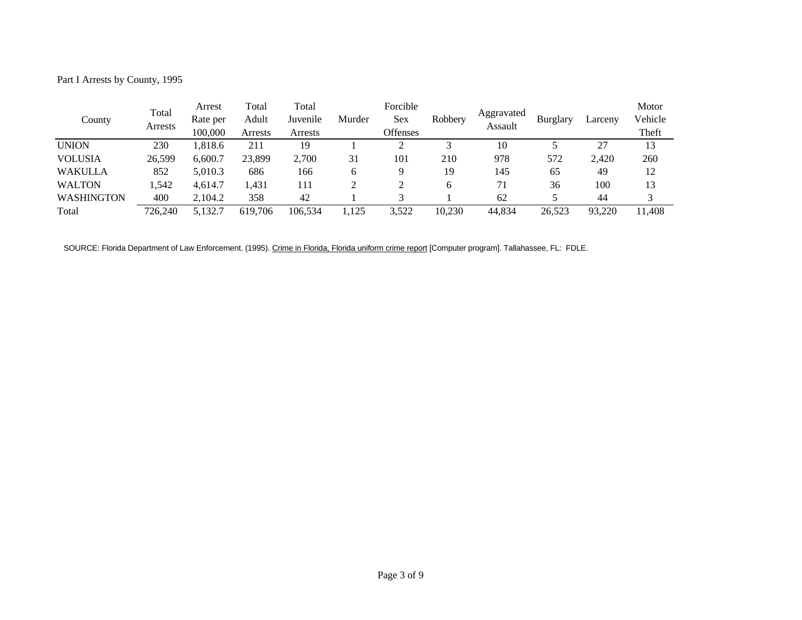Part I Arrests by County, 1995

|                   | Total   | Arrest   | Total   | Total    |        | Forcible |         |                       |                 |         | Motor   |
|-------------------|---------|----------|---------|----------|--------|----------|---------|-----------------------|-----------------|---------|---------|
| County            | Arrests | Rate per | Adult   | Juvenile | Murder | Sex      | Robbery | Aggravated<br>Assault | <b>Burglary</b> | Larceny | Vehicle |
|                   |         | 100,000  | Arrests | Arrests  |        | Offenses |         |                       |                 |         | Theft   |
| <b>UNION</b>      | 230     | 1,818.6  | 211     | 19       |        |          |         | 10                    |                 | 27      | 13      |
| <b>VOLUSIA</b>    | 26,599  | 6.600.7  | 23,899  | 2,700    | 31     | 101      | 210     | 978                   | 572             | 2.420   | 260     |
| <b>WAKULLA</b>    | 852     | 5,010.3  | 686     | 166      | 6      |          | 19      | 145                   | 65              | 49      | 12      |
| <b>WALTON</b>     | .542    | 4.614.7  | 1,431   | 111      |        |          | 6       | 71                    | 36              | 100     | 13      |
| <b>WASHINGTON</b> | 400     | 2.104.2  | 358     | 42       |        |          |         | 62                    |                 | 44      |         |
| Total             | 726.240 | 5,132.7  | 619.706 | 106,534  | 1,125  | 3,522    | 10,230  | 44,834                | 26,523          | 93,220  | 11.408  |

SOURCE: Florida Department of Law Enforcement. (1995). Crime in Florida, Florida uniform crime report [Computer program]. Tallahassee, FL: FDLE.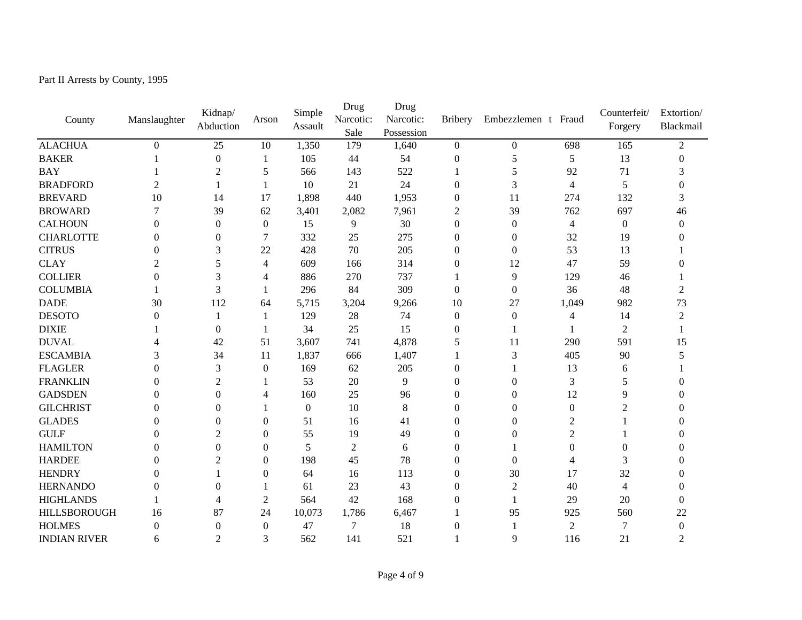Part II Arrests by County, 1995

|                     |                | Kidnap/          |                  | Simple           | Drug           | Drug       |                  |                     |                | Counterfeit/     | Extortion/       |  |
|---------------------|----------------|------------------|------------------|------------------|----------------|------------|------------------|---------------------|----------------|------------------|------------------|--|
| County              | Manslaughter   | Abduction        | Arson            | Assault          | Narcotic:      | Narcotic:  | <b>Bribery</b>   | Embezzlemen t Fraud |                | Forgery          | Blackmail        |  |
|                     |                |                  |                  |                  | Sale           | Possession |                  |                     |                |                  |                  |  |
| <b>ALACHUA</b>      | $\Omega$       | 25               | 10               | 1,350            | 179            | 1,640      | $\Omega$         | $\overline{0}$      | 698            | 165              | 2                |  |
| <b>BAKER</b>        |                | $\boldsymbol{0}$ | -1               | 105              | 44             | 54         | $\overline{0}$   | 5                   | 5              | 13               | $\theta$         |  |
| <b>BAY</b>          |                | 2                | 5                | 566              | 143            | 522        |                  | 5                   | 92             | 71               | 3                |  |
| <b>BRADFORD</b>     | 2              | $\mathbf{1}$     | $\mathbf{1}$     | 10               | 21             | 24         | $\overline{0}$   | 3                   | $\overline{4}$ | 5                | 0                |  |
| <b>BREVARD</b>      | 10             | 14               | 17               | 1,898            | 440            | 1,953      | $\mathbf{0}$     | 11                  | 274            | 132              | 3                |  |
| <b>BROWARD</b>      | 7              | 39               | 62               | 3,401            | 2,082          | 7,961      | 2                | 39                  | 762            | 697              | 46               |  |
| <b>CALHOUN</b>      | $\theta$       | $\boldsymbol{0}$ | $\boldsymbol{0}$ | 15               | 9              | 30         | $\overline{0}$   | $\boldsymbol{0}$    | $\overline{4}$ | $\boldsymbol{0}$ | $\theta$         |  |
| <b>CHARLOTTE</b>    | 0              | $\boldsymbol{0}$ | 7                | 332              | 25             | 275        | $\overline{0}$   | $\mathbf{0}$        | 32             | 19               |                  |  |
| <b>CITRUS</b>       | 0              | 3                | 22               | 428              | 70             | 205        | $\boldsymbol{0}$ | $\overline{0}$      | 53             | 13               |                  |  |
| <b>CLAY</b>         | $\overline{c}$ | 5                | $\overline{4}$   | 609              | 166            | 314        | $\theta$         | 12                  | 47             | 59               |                  |  |
| <b>COLLIER</b>      | 0              | 3                | 4                | 886              | 270            | 737        |                  | 9                   | 129            | 46               |                  |  |
| <b>COLUMBIA</b>     |                | 3                | -1               | 296              | 84             | 309        | $\Omega$         | $\mathbf{0}$        | 36             | 48               | 2                |  |
| <b>DADE</b>         | 30             | 112              | 64               | 5,715            | 3,204          | 9,266      | 10               | 27                  | 1,049          | 982              | 73               |  |
| <b>DESOTO</b>       | $\Omega$       | 1                | -1               | 129              | 28             | 74         | $\overline{0}$   | $\overline{0}$      | $\overline{4}$ | 14               | 2                |  |
| <b>DIXIE</b>        |                | $\mathbf{0}$     | $\mathbf{1}$     | 34               | 25             | 15         | $\theta$         |                     |                | $\overline{2}$   |                  |  |
| <b>DUVAL</b>        | 4              | 42               | 51               | 3,607            | 741            | 4,878      | 5                | 11                  | 290            | 591              | 15               |  |
| <b>ESCAMBIA</b>     | 3              | 34               | 11               | 1,837            | 666            | 1,407      | 1                | 3                   | 405            | 90               |                  |  |
| <b>FLAGLER</b>      | $\theta$       | 3                | $\boldsymbol{0}$ | 169              | 62             | 205        | $\boldsymbol{0}$ |                     | 13             | 6                |                  |  |
| <b>FRANKLIN</b>     | 0              | $\overline{c}$   |                  | 53               | 20             | 9          | $\theta$         | $\mathbf{0}$        | 3              | 5                |                  |  |
| <b>GADSDEN</b>      | 0              | $\overline{0}$   | 4                | 160              | 25             | 96         | $\theta$         | $\Omega$            | 12             | 9                |                  |  |
| <b>GILCHRIST</b>    | 0              | $\theta$         | -1               | $\boldsymbol{0}$ | 10             | $\,8\,$    | $\theta$         | $\mathbf{0}$        | $\mathbf{0}$   | $\overline{c}$   |                  |  |
| <b>GLADES</b>       | $\Omega$       | $\theta$         | $\mathbf{0}$     | 51               | 16             | 41         | $\boldsymbol{0}$ | $\Omega$            | $\overline{2}$ |                  |                  |  |
| <b>GULF</b>         | 0              | 2                | $\mathbf{0}$     | 55               | 19             | 49         | 0                | $\Omega$            | $\overline{2}$ |                  |                  |  |
| <b>HAMILTON</b>     | 0              | $\Omega$         | $\Omega$         | 5                | $\overline{2}$ | 6          | $\Omega$         |                     | $\Omega$       | $\Omega$         |                  |  |
| <b>HARDEE</b>       | 0              | 2                | $\theta$         | 198              | 45             | 78         | $\theta$         | $\Omega$            | 4              | 3                |                  |  |
| <b>HENDRY</b>       | 0              |                  | $\Omega$         | 64               | 16             | 113        | $\theta$         | 30                  | 17             | 32               |                  |  |
| <b>HERNANDO</b>     | 0              | $\overline{0}$   |                  | 61               | 23             | 43         | $\theta$         | $\boldsymbol{2}$    | 40             | 4                | 0                |  |
| <b>HIGHLANDS</b>    |                | 4                | $\overline{2}$   | 564              | 42             | 168        | $\theta$         |                     | 29             | 20               | $\overline{0}$   |  |
| <b>HILLSBOROUGH</b> | 16             | 87               | 24               | 10,073           | 1,786          | 6,467      |                  | 95                  | 925            | 560              | 22               |  |
| <b>HOLMES</b>       | $\overline{0}$ | $\boldsymbol{0}$ | $\mathbf{0}$     | 47               | $\tau$         | 18         | $\overline{0}$   |                     | $\overline{2}$ | $\overline{7}$   | $\boldsymbol{0}$ |  |
| <b>INDIAN RIVER</b> | 6              | $\overline{c}$   | 3                | 562              | 141            | 521        |                  | 9                   | 116            | 21               | $\overline{2}$   |  |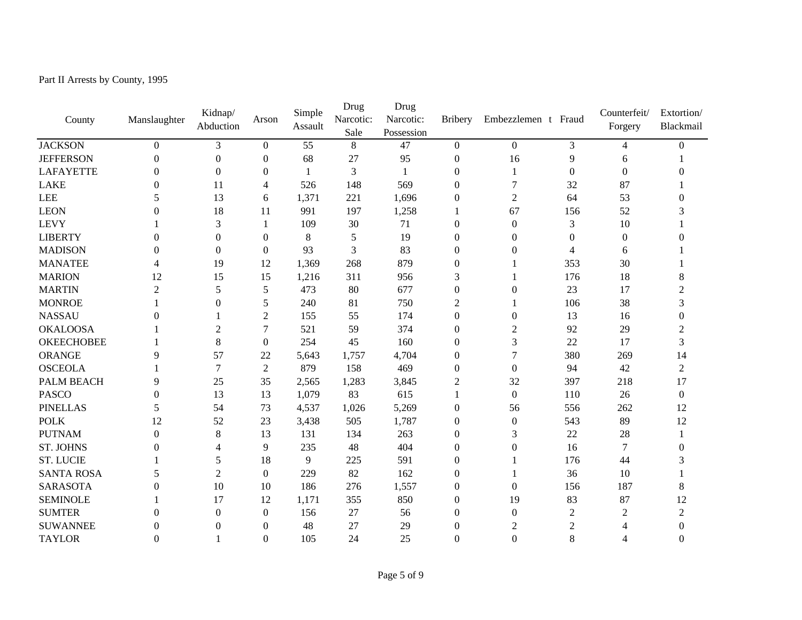Part II Arrests by County, 1995

| County            | Manslaughter   | Kidnap/<br>Abduction | Arson            | Simple<br>Assault | Drug<br>Narcotic:<br>Sale | Drug<br>Narcotic:<br>Possession | <b>Bribery</b>   | Embezzlemen t Fraud |                | Counterfeit/<br>Forgery | Extortion/<br>Blackmail |
|-------------------|----------------|----------------------|------------------|-------------------|---------------------------|---------------------------------|------------------|---------------------|----------------|-------------------------|-------------------------|
| <b>JACKSON</b>    | $\Omega$       | 3                    | $\Omega$         | 55                | 8                         | 47                              | $\overline{0}$   | $\theta$            | 3              | 4                       | $\Omega$                |
| <b>JEFFERSON</b>  | $\Omega$       | $\mathbf{0}$         | $\mathbf{0}$     | 68                | 27                        | 95                              | $\boldsymbol{0}$ | 16                  | 9              | 6                       |                         |
| <b>LAFAYETTE</b>  | $\Omega$       | $\Omega$             | $\Omega$         | 1                 | 3                         | -1                              | $\theta$         | 1                   | $\Omega$       | $\Omega$                |                         |
| <b>LAKE</b>       | 0              | 11                   | 4                | 526               | 148                       | 569                             | $\boldsymbol{0}$ | 7                   | 32             | 87                      |                         |
| LEE               | 5              | 13                   | 6                | 1,371             | 221                       | 1,696                           | $\Omega$         | $\overline{2}$      | 64             | 53                      | 0                       |
| <b>LEON</b>       | 0              | 18                   | 11               | 991               | 197                       | 1,258                           | 1                | 67                  | 156            | 52                      |                         |
| <b>LEVY</b>       |                | 3                    | 1                | 109               | 30                        | 71                              | $\boldsymbol{0}$ | $\mathbf{0}$        | 3              | 10                      |                         |
| <b>LIBERTY</b>    | $\theta$       | $\boldsymbol{0}$     | $\boldsymbol{0}$ | $\,8\,$           | 5                         | 19                              | $\boldsymbol{0}$ | $\boldsymbol{0}$    | $\mathbf{0}$   | $\boldsymbol{0}$        |                         |
| <b>MADISON</b>    | $\overline{0}$ | $\boldsymbol{0}$     | $\overline{0}$   | 93                | 3                         | 83                              | $\overline{0}$   | $\theta$            | $\overline{4}$ | 6                       |                         |
| <b>MANATEE</b>    | 4              | 19                   | 12               | 1,369             | 268                       | 879                             | $\Omega$         |                     | 353            | 30                      |                         |
| <b>MARION</b>     | 12             | 15                   | 15               | 1,216             | 311                       | 956                             | 3                |                     | 176            | 18                      | 8                       |
| <b>MARTIN</b>     | $\overline{2}$ | 5                    | 5                | 473               | 80                        | 677                             | $\overline{0}$   | $\theta$            | 23             | 17                      | 2                       |
| <b>MONROE</b>     |                | $\boldsymbol{0}$     | 5                | 240               | 81                        | 750                             | 2                |                     | 106            | 38                      | 3                       |
| <b>NASSAU</b>     | $\Omega$       |                      | $\overline{2}$   | 155               | 55                        | 174                             | $\Omega$         | $\overline{0}$      | 13             | 16                      | $\boldsymbol{0}$        |
| <b>OKALOOSA</b>   |                | 2                    | 7                | 521               | 59                        | 374                             | $\Omega$         | 2                   | 92             | 29                      | $\overline{2}$          |
| <b>OKEECHOBEE</b> |                | 8                    | $\Omega$         | 254               | 45                        | 160                             | $\theta$         | 3                   | 22             | 17                      | 3                       |
| <b>ORANGE</b>     | 9              | 57                   | 22               | 5,643             | 1,757                     | 4,704                           | $\boldsymbol{0}$ | $\tau$              | 380            | 269                     | 14                      |
| <b>OSCEOLA</b>    |                | $\boldsymbol{7}$     | $\overline{2}$   | 879               | 158                       | 469                             | $\boldsymbol{0}$ | $\boldsymbol{0}$    | 94             | 42                      | $\overline{c}$          |
| PALM BEACH        | 9              | 25                   | 35               | 2,565             | 1,283                     | 3,845                           | $\overline{2}$   | 32                  | 397            | 218                     | 17                      |
| <b>PASCO</b>      | $\theta$       | 13                   | 13               | 1,079             | 83                        | 615                             | 1                | $\mathbf{0}$        | 110            | 26                      | $\boldsymbol{0}$        |
| <b>PINELLAS</b>   | 5              | 54                   | 73               | 4,537             | 1,026                     | 5,269                           | $\boldsymbol{0}$ | 56                  | 556            | 262                     | 12                      |
| <b>POLK</b>       | 12             | 52                   | 23               | 3,438             | 505                       | 1,787                           | $\boldsymbol{0}$ | $\boldsymbol{0}$    | 543            | 89                      | 12                      |
| <b>PUTNAM</b>     | $\theta$       | $\,8\,$              | 13               | 131               | 134                       | 263                             | $\mathbf{0}$     | 3                   | 22             | 28                      |                         |
| <b>ST. JOHNS</b>  | $\Omega$       | 4                    | 9                | 235               | 48                        | 404                             | $\theta$         | $\theta$            | 16             | $\overline{7}$          | $\Omega$                |
| <b>ST. LUCIE</b>  |                | 5                    | 18               | 9                 | 225                       | 591                             | $\overline{0}$   |                     | 176            | 44                      | 3                       |
| <b>SANTA ROSA</b> | 5              | $\overline{c}$       | $\Omega$         | 229               | 82                        | 162                             | $\theta$         |                     | 36             | 10                      |                         |
| <b>SARASOTA</b>   | 0              | 10                   | 10               | 186               | 276                       | 1,557                           | $\overline{0}$   | $\overline{0}$      | 156            | 187                     | 8                       |
| <b>SEMINOLE</b>   |                | 17                   | 12               | 1,171             | 355                       | 850                             | $\Omega$         | 19                  | 83             | 87                      | 12                      |
| <b>SUMTER</b>     | $\Omega$       | $\mathbf{0}$         | $\mathbf{0}$     | 156               | 27                        | 56                              | $\overline{0}$   | $\overline{0}$      | $\overline{2}$ | $\overline{2}$          | $\overline{2}$          |
| <b>SUWANNEE</b>   | $\theta$       | $\boldsymbol{0}$     | $\mathbf{0}$     | 48                | 27                        | 29                              | $\overline{0}$   | $\mathfrak 2$       | $\mathfrak{2}$ | 4                       | $\theta$                |
| <b>TAYLOR</b>     | $\theta$       | 1                    | $\Omega$         | 105               | 24                        | 25                              | $\theta$         | $\overline{0}$      | 8              | 4                       | $\Omega$                |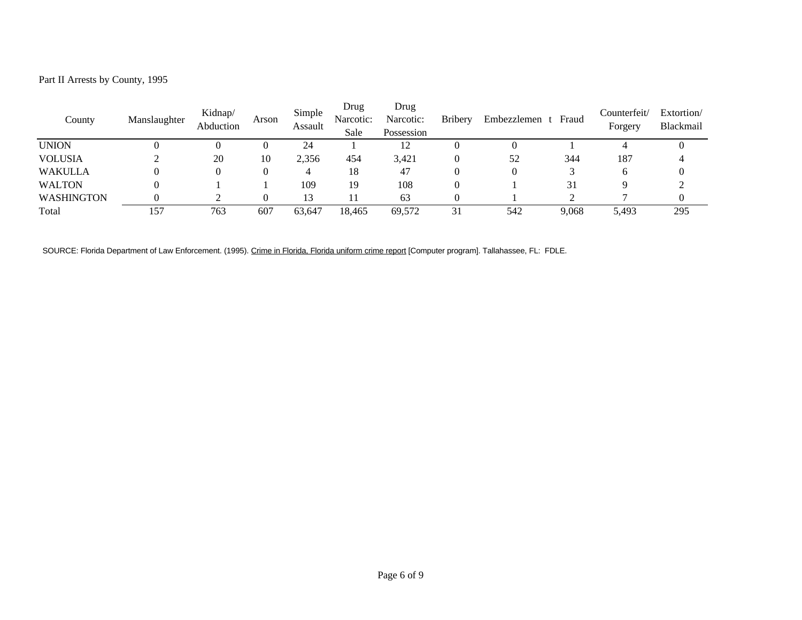Part II Arrests by County, 1995

| County            | Manslaughter | Kidnap/<br>Abduction | Arson | Simple<br>Assault | Drug<br>Narcotic:<br>Sale | Drug<br>Narcotic:<br>Possession | <b>Bribery</b> | Embezzlemen t Fraud |       | Counterfeit/<br>Forgery | Extortion/<br>Blackmail |
|-------------------|--------------|----------------------|-------|-------------------|---------------------------|---------------------------------|----------------|---------------------|-------|-------------------------|-------------------------|
| <b>UNION</b>      |              |                      |       | 24                |                           | 12                              |                |                     |       |                         |                         |
| <b>VOLUSIA</b>    |              | 20                   | 10    | 2,356             | 454                       | 3,421                           |                | 52                  | 344   | 187                     |                         |
| <b>WAKULLA</b>    |              | 0                    |       | 4                 | 18                        | 47                              |                |                     |       | h                       |                         |
| <b>WALTON</b>     |              |                      |       | 109               | 19                        | 108                             |                |                     | 31    |                         |                         |
| <b>WASHINGTON</b> |              |                      |       | 13                |                           | 63                              |                |                     |       |                         |                         |
| Total             | 157          | 763                  | 607   | 63,647            | 18,465                    | 69,572                          | 31             | 542                 | 9.068 | 5,493                   | 295                     |

SOURCE: Florida Department of Law Enforcement. (1995). Crime in Florida, Florida uniform crime report [Computer program]. Tallahassee, FL: FDLE.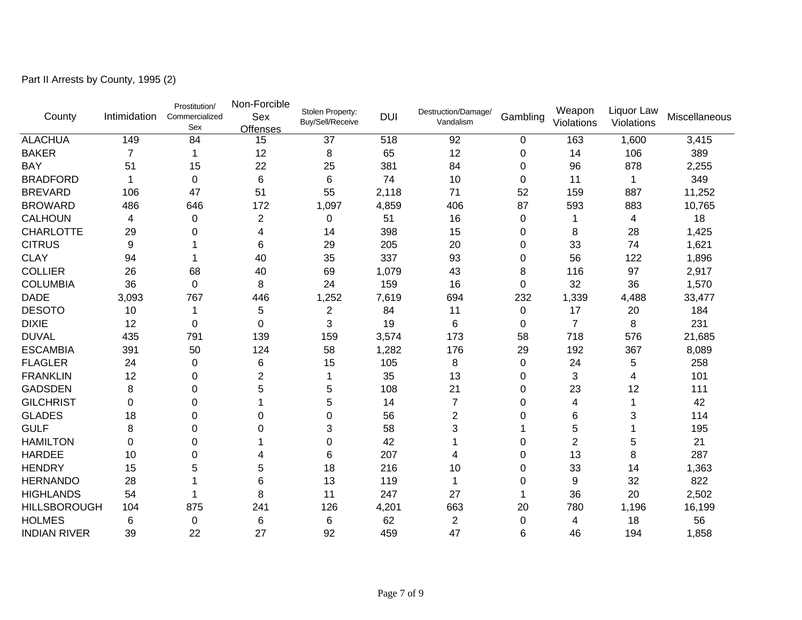Part II Arrests by County, 1995 (2)

| County              | Intimidation   | Prostitution/<br>Commercialized<br>Sex | Non-Forcible<br>Sex<br><b>Offenses</b> | Stolen Property:<br><b>Buy/Sell/Receive</b> | <b>DUI</b> | Destruction/Damage/<br>Vandalism | Gambling | Weapon<br>Violations | Liquor Law<br>Violations  | Miscellaneous |
|---------------------|----------------|----------------------------------------|----------------------------------------|---------------------------------------------|------------|----------------------------------|----------|----------------------|---------------------------|---------------|
| <b>ALACHUA</b>      | 149            | 84                                     | 15                                     | 37                                          | 518        | 92                               | 0        | 163                  | 1,600                     | 3,415         |
| <b>BAKER</b>        | $\overline{7}$ |                                        | 12                                     | 8                                           | 65         | 12                               | 0        | 14                   | 106                       | 389           |
| <b>BAY</b>          | 51             | 15                                     | 22                                     | 25                                          | 381        | 84                               | $\Omega$ | 96                   | 878                       | 2,255         |
| <b>BRADFORD</b>     |                | $\mathbf 0$                            | 6                                      | 6                                           | 74         | 10                               | 0        | 11                   |                           | 349           |
| <b>BREVARD</b>      | 106            | 47                                     | 51                                     | 55                                          | 2,118      | 71                               | 52       | 159                  | 887                       | 11,252        |
| <b>BROWARD</b>      | 486            | 646                                    | 172                                    | 1,097                                       | 4,859      | 406                              | 87       | 593                  | 883                       | 10,765        |
| <b>CALHOUN</b>      | 4              | $\pmb{0}$                              | $\overline{2}$                         | $\pmb{0}$                                   | 51         | 16                               | 0        | 1                    | 4                         | 18            |
| <b>CHARLOTTE</b>    | 29             | 0                                      | 4                                      | 14                                          | 398        | 15                               | 0        | 8                    | 28                        | 1,425         |
| <b>CITRUS</b>       | 9              |                                        | 6                                      | 29                                          | 205        | 20                               | 0        | 33                   | 74                        | 1,621         |
| <b>CLAY</b>         | 94             |                                        | 40                                     | 35                                          | 337        | 93                               | 0        | 56                   | 122                       | 1,896         |
| <b>COLLIER</b>      | 26             | 68                                     | 40                                     | 69                                          | 1,079      | 43                               | 8        | 116                  | 97                        | 2,917         |
| <b>COLUMBIA</b>     | 36             | 0                                      | 8                                      | 24                                          | 159        | 16                               | $\Omega$ | 32                   | 36                        | 1,570         |
| <b>DADE</b>         | 3,093          | 767                                    | 446                                    | 1,252                                       | 7,619      | 694                              | 232      | 1,339                | 4,488                     | 33,477        |
| <b>DESOTO</b>       | 10             | 1                                      | 5                                      | $\overline{2}$                              | 84         | 11                               | 0        | 17                   | 20                        | 184           |
| <b>DIXIE</b>        | 12             | 0                                      | 0                                      | 3                                           | 19         | 6                                | 0        | $\overline{7}$       | 8                         | 231           |
| <b>DUVAL</b>        | 435            | 791                                    | 139                                    | 159                                         | 3,574      | 173                              | 58       | 718                  | 576                       | 21,685        |
| <b>ESCAMBIA</b>     | 391            | 50                                     | 124                                    | 58                                          | 1,282      | 176                              | 29       | 192                  | 367                       | 8,089         |
| <b>FLAGLER</b>      | 24             | 0                                      | 6                                      | 15                                          | 105        | 8                                | 0        | 24                   | 5                         | 258           |
| <b>FRANKLIN</b>     | 12             | 0                                      | 2                                      |                                             | 35         | 13                               | $\Omega$ | 3                    | 4                         | 101           |
| <b>GADSDEN</b>      | 8              | 0                                      | 5                                      | 5                                           | 108        | 21                               | 0        | 23                   | 12                        | 111           |
| <b>GILCHRIST</b>    | $\Omega$       | 0                                      |                                        | 5                                           | 14         | $\overline{7}$                   | 0        | 4                    | 1                         | 42            |
| <b>GLADES</b>       | 18             | 0                                      | 0                                      | 0                                           | 56         | $\overline{2}$                   | 0        | 6                    | $\ensuremath{\mathsf{3}}$ | 114           |
| <b>GULF</b>         | 8              | 0                                      | U                                      | 3                                           | 58         | 3                                |          | 5                    |                           | 195           |
| <b>HAMILTON</b>     | $\Omega$       | $\Omega$                               |                                        | $\Omega$                                    | 42         |                                  | 0        | $\overline{2}$       | 5                         | 21            |
| <b>HARDEE</b>       | 10             | 0                                      |                                        | 6                                           | 207        | 4                                | 0        | 13                   | 8                         | 287           |
| <b>HENDRY</b>       | 15             | 5                                      | 5                                      | 18                                          | 216        | 10                               | 0        | 33                   | 14                        | 1,363         |
| <b>HERNANDO</b>     | 28             |                                        | 6                                      | 13                                          | 119        |                                  | 0        | 9                    | 32                        | 822           |
| <b>HIGHLANDS</b>    | 54             |                                        | 8                                      | 11                                          | 247        | 27                               |          | 36                   | 20                        | 2,502         |
| <b>HILLSBOROUGH</b> | 104            | 875                                    | 241                                    | 126                                         | 4,201      | 663                              | 20       | 780                  | 1,196                     | 16,199        |
| <b>HOLMES</b>       | 6              | $\pmb{0}$                              | 6                                      | 6                                           | 62         | 2                                | 0        | 4                    | 18                        | 56            |
| <b>INDIAN RIVER</b> | 39             | 22                                     | 27                                     | 92                                          | 459        | 47                               | 6        | 46                   | 194                       | 1,858         |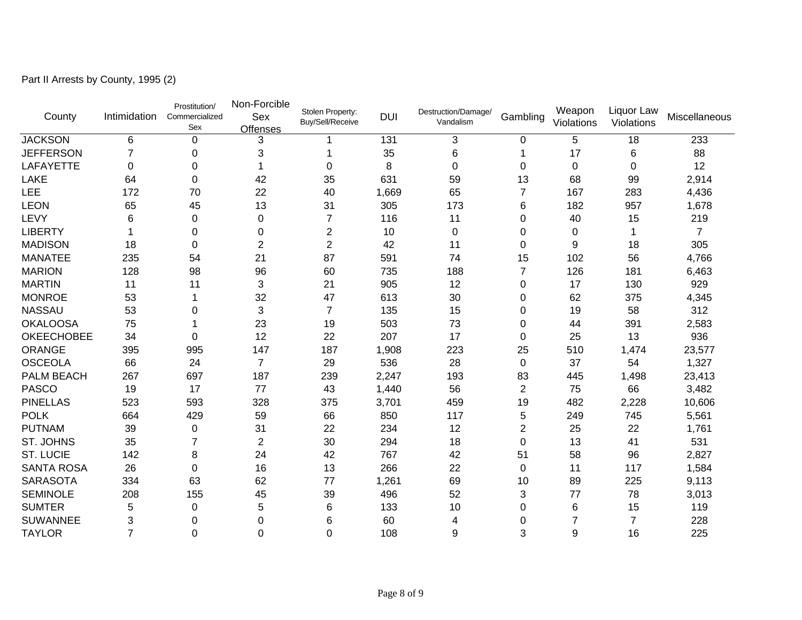Part II Arrests by County, 1995 (2)

| County            | Intimidation   | Prostitution/<br>Commercialized<br>Sex | Non-Forcible<br>Sex<br><b>Offenses</b> | Stolen Property:<br>Buy/Sell/Receive | <b>DUI</b> | Destruction/Damage/<br>Vandalism | Gambling       | Weapon<br>Violations | Liquor Law<br>Violations | Miscellaneous  |
|-------------------|----------------|----------------------------------------|----------------------------------------|--------------------------------------|------------|----------------------------------|----------------|----------------------|--------------------------|----------------|
| <b>JACKSON</b>    | 6              | $\pmb{0}$                              | 3                                      |                                      | 131        | 3                                | 0              | 5                    | 18                       | 233            |
| <b>JEFFERSON</b>  | 7              | 0                                      | 3                                      |                                      | 35         | 6                                | 1              | 17                   | 6                        | 88             |
| <b>LAFAYETTE</b>  | $\Omega$       | 0                                      |                                        | 0                                    | 8          | $\Omega$                         | $\Omega$       | 0                    | 0                        | 12             |
| <b>LAKE</b>       | 64             | 0                                      | 42                                     | 35                                   | 631        | 59                               | 13             | 68                   | 99                       | 2,914          |
| LEE               | 172            | 70                                     | 22                                     | 40                                   | 1,669      | 65                               | 7              | 167                  | 283                      | 4,436          |
| <b>LEON</b>       | 65             | 45                                     | 13                                     | 31                                   | 305        | 173                              | 6              | 182                  | 957                      | 1,678          |
| LEVY              | 6              | 0                                      | 0                                      | 7                                    | 116        | 11                               | 0              | 40                   | 15                       | 219            |
| <b>LIBERTY</b>    |                | 0                                      | 0                                      | $\overline{2}$                       | 10         | $\mathbf 0$                      | 0              | 0                    | 1                        | $\overline{7}$ |
| <b>MADISON</b>    | 18             | $\Omega$                               | $\overline{2}$                         | $\overline{2}$                       | 42         | 11                               | $\Omega$       | 9                    | 18                       | 305            |
| <b>MANATEE</b>    | 235            | 54                                     | 21                                     | 87                                   | 591        | 74                               | 15             | 102                  | 56                       | 4,766          |
| <b>MARION</b>     | 128            | 98                                     | 96                                     | 60                                   | 735        | 188                              | 7              | 126                  | 181                      | 6,463          |
| <b>MARTIN</b>     | 11             | 11                                     | 3                                      | 21                                   | 905        | 12                               | 0              | 17                   | 130                      | 929            |
| <b>MONROE</b>     | 53             |                                        | 32                                     | 47                                   | 613        | 30                               | 0              | 62                   | 375                      | 4,345          |
| <b>NASSAU</b>     | 53             | 0                                      | 3                                      | $\overline{7}$                       | 135        | 15                               | 0              | 19                   | 58                       | 312            |
| <b>OKALOOSA</b>   | 75             |                                        | 23                                     | 19                                   | 503        | 73                               | $\Omega$       | 44                   | 391                      | 2,583          |
| <b>OKEECHOBEE</b> | 34             | $\Omega$                               | 12                                     | 22                                   | 207        | 17                               | $\Omega$       | 25                   | 13                       | 936            |
| <b>ORANGE</b>     | 395            | 995                                    | 147                                    | 187                                  | 1,908      | 223                              | 25             | 510                  | 1,474                    | 23,577         |
| <b>OSCEOLA</b>    | 66             | 24                                     | $\overline{7}$                         | 29                                   | 536        | 28                               | 0              | 37                   | 54                       | 1,327          |
| PALM BEACH        | 267            | 697                                    | 187                                    | 239                                  | 2,247      | 193                              | 83             | 445                  | 1,498                    | 23,413         |
| <b>PASCO</b>      | 19             | 17                                     | 77                                     | 43                                   | 1,440      | 56                               | $\overline{2}$ | 75                   | 66                       | 3,482          |
| <b>PINELLAS</b>   | 523            | 593                                    | 328                                    | 375                                  | 3,701      | 459                              | 19             | 482                  | 2,228                    | 10,606         |
| <b>POLK</b>       | 664            | 429                                    | 59                                     | 66                                   | 850        | 117                              | 5              | 249                  | 745                      | 5,561          |
| <b>PUTNAM</b>     | 39             | 0                                      | 31                                     | 22                                   | 234        | 12                               | $\overline{2}$ | 25                   | 22                       | 1,761          |
| <b>ST. JOHNS</b>  | 35             | 7                                      | $\overline{2}$                         | 30                                   | 294        | 18                               | 0              | 13                   | 41                       | 531            |
| <b>ST. LUCIE</b>  | 142            | 8                                      | 24                                     | 42                                   | 767        | 42                               | 51             | 58                   | 96                       | 2,827          |
| <b>SANTA ROSA</b> | 26             | $\Omega$                               | 16                                     | 13                                   | 266        | 22                               | 0              | 11                   | 117                      | 1,584          |
| <b>SARASOTA</b>   | 334            | 63                                     | 62                                     | 77                                   | 1,261      | 69                               | 10             | 89                   | 225                      | 9,113          |
| <b>SEMINOLE</b>   | 208            | 155                                    | 45                                     | 39                                   | 496        | 52                               | 3              | 77                   | 78                       | 3,013          |
| <b>SUMTER</b>     | 5              | $\mathbf 0$                            | 5                                      | 6                                    | 133        | 10                               | 0              | 6                    | 15                       | 119            |
| <b>SUWANNEE</b>   | 3              | 0                                      | 0                                      | 6                                    | 60         | 4                                | 0              | $\overline{7}$       | $\overline{7}$           | 228            |
| <b>TAYLOR</b>     | $\overline{7}$ | $\overline{0}$                         | 0                                      | $\mathbf 0$                          | 108        | 9                                | 3              | 9                    | 16                       | 225            |